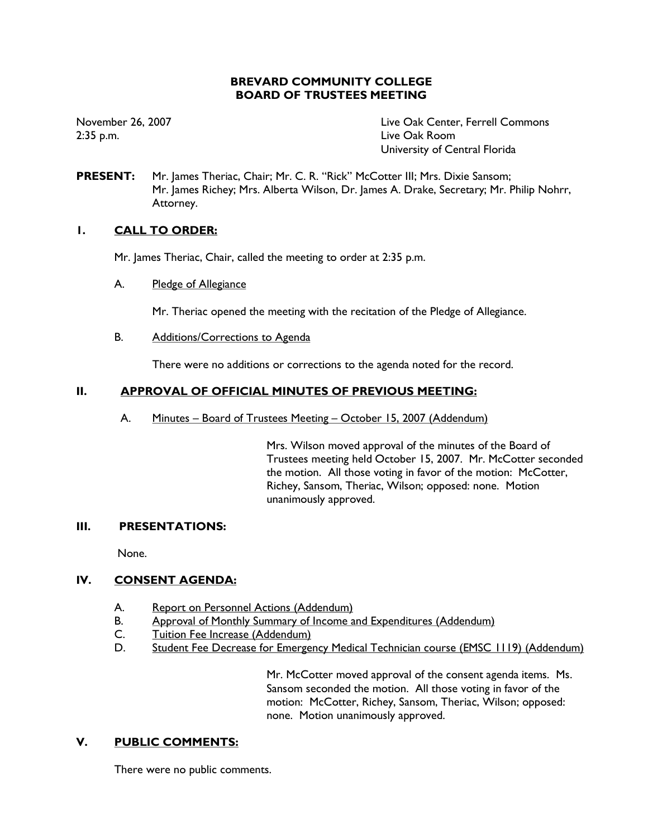# **BREVARD COMMUNITY COLLEGE BOARD OF TRUSTEES MEETING**

November 26, 2007  $2:35$  p.m.

Live Oak Center, Ferrell Commons Live Oak Room University of Central Florida

**PRESENT:** Mr. James Theriac, Chair; Mr. C. R. "Rick" McCotter III; Mrs. Dixie Sansom; Mr. James Richey; Mrs. Alberta Wilson, Dr. James A. Drake, Secretary; Mr. Philip Nohrr, Attorney.

# $\mathbf{L}$ **CALL TO ORDER:**

Mr. James Theriac, Chair, called the meeting to order at 2:35 p.m.

A. Pledge of Allegiance

Mr. Theriac opened the meeting with the recitation of the Pledge of Allegiance.

**B.** Additions/Corrections to Agenda

There were no additions or corrections to the agenda noted for the record.

# $II.$ **APPROVAL OF OFFICIAL MINUTES OF PREVIOUS MEETING:**

A. Minutes - Board of Trustees Meeting - October 15, 2007 (Addendum)

> Mrs. Wilson moved approval of the minutes of the Board of Trustees meeting held October 15, 2007. Mr. McCotter seconded the motion. All those voting in favor of the motion: McCotter, Richey, Sansom, Theriac, Wilson; opposed: none. Motion unanimously approved.

# $III.$ **PRESENTATIONS:**

None.

# $IV.$ **CONSENT AGENDA:**

- A. Report on Personnel Actions (Addendum)
- **B**. Approval of Monthly Summary of Income and Expenditures (Addendum)
- $C_{1}$ Tuition Fee Increase (Addendum)
- Student Fee Decrease for Emergency Medical Technician course (EMSC 1119) (Addendum) D.

Mr. McCotter moved approval of the consent agenda items. Ms. Sansom seconded the motion. All those voting in favor of the motion: McCotter, Richey, Sansom, Theriac, Wilson; opposed: none. Motion unanimously approved.

# V. **PUBLIC COMMENTS:**

There were no public comments.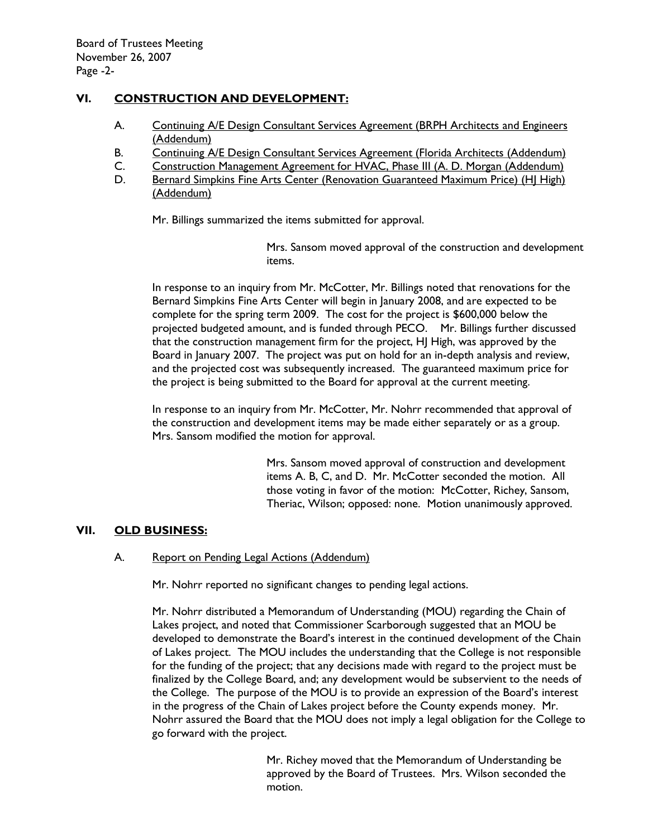# VI. **CONSTRUCTION AND DEVELOPMENT:**

- Continuing A/E Design Consultant Services Agreement (BRPH Architects and Engineers A. (Addendum)
- **B.** Continuing A/E Design Consultant Services Agreement (Florida Architects (Addendum)
- Construction Management Agreement for HVAC, Phase III (A. D. Morgan (Addendum)  $C_{\cdot}$
- D. Bernard Simpkins Fine Arts Center (Renovation Guaranteed Maximum Price) (HI High) (Addendum)

Mr. Billings summarized the items submitted for approval.

Mrs. Sansom moved approval of the construction and development items.

In response to an inguiry from Mr. McCotter, Mr. Billings noted that renovations for the Bernard Simpkins Fine Arts Center will begin in January 2008, and are expected to be complete for the spring term 2009. The cost for the project is \$600,000 below the projected budgeted amount, and is funded through PECO. Mr. Billings further discussed that the construction management firm for the project, HJ High, was approved by the Board in January 2007. The project was put on hold for an in-depth analysis and review, and the projected cost was subsequently increased. The guaranteed maximum price for the project is being submitted to the Board for approval at the current meeting.

In response to an inquiry from Mr. McCotter, Mr. Nohrr recommended that approval of the construction and development items may be made either separately or as a group. Mrs. Sansom modified the motion for approval.

> Mrs. Sansom moved approval of construction and development items A. B, C, and D. Mr. McCotter seconded the motion. All those voting in favor of the motion: McCotter, Richey, Sansom, Theriac, Wilson; opposed: none. Motion unanimously approved.

# VII. **OLD BUSINESS:**

## А. Report on Pending Legal Actions (Addendum)

Mr. Nohrr reported no significant changes to pending legal actions.

Mr. Nohrr distributed a Memorandum of Understanding (MOU) regarding the Chain of Lakes project, and noted that Commissioner Scarborough suggested that an MOU be developed to demonstrate the Board's interest in the continued development of the Chain of Lakes project. The MOU includes the understanding that the College is not responsible for the funding of the project; that any decisions made with regard to the project must be finalized by the College Board, and; any development would be subservient to the needs of the College. The purpose of the MOU is to provide an expression of the Board's interest in the progress of the Chain of Lakes project before the County expends money. Mr. Nohrr assured the Board that the MOU does not imply a legal obligation for the College to go forward with the project.

> Mr. Richey moved that the Memorandum of Understanding be approved by the Board of Trustees. Mrs. Wilson seconded the motion.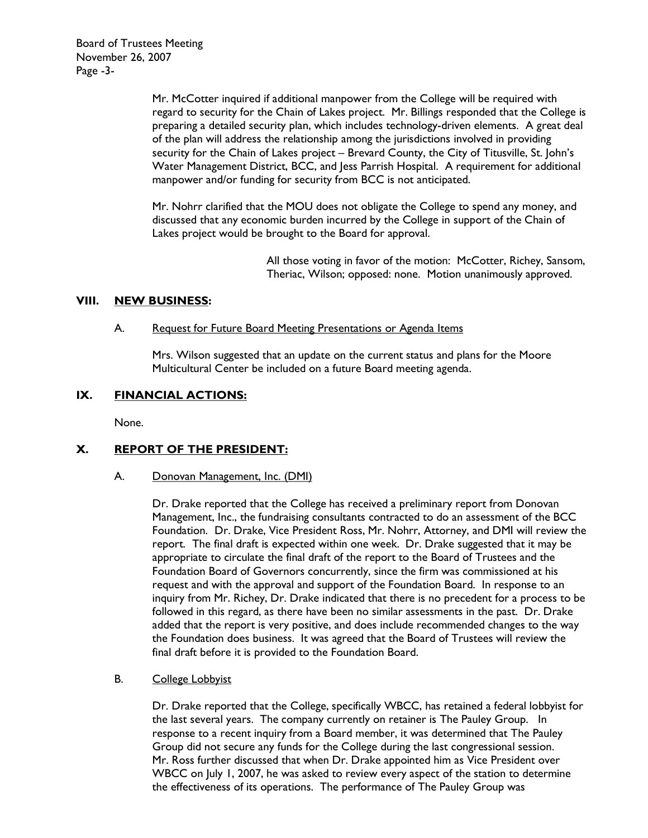**Board of Trustees Meeting** November 26, 2007 Page -3-

> Mr. McCotter inquired if additional manpower from the College will be required with regard to security for the Chain of Lakes project. Mr. Billings responded that the College is preparing a detailed security plan, which includes technology-driven elements. A great deal of the plan will address the relationship among the jurisdictions involved in providing security for the Chain of Lakes project - Brevard County, the City of Titusville, St. John's Water Management District, BCC, and Jess Parrish Hospital. A requirement for additional manpower and/or funding for security from BCC is not anticipated.

Mr. Nohrr clarified that the MOU does not obligate the College to spend any money, and discussed that any economic burden incurred by the College in support of the Chain of Lakes project would be brought to the Board for approval.

> All those voting in favor of the motion: McCotter, Richey, Sansom, Theriac, Wilson; opposed: none. Motion unanimously approved.

## VIII. **NEW BUSINESS:**

#### A. Request for Future Board Meeting Presentations or Agenda Items

Mrs. Wilson suggested that an update on the current status and plans for the Moore Multicultural Center be included on a future Board meeting agenda.

## IX. **FINANCIAL ACTIONS:**

None.

## X. **REPORT OF THE PRESIDENT:**

## A. Donovan Management, Inc. (DMI)

Dr. Drake reported that the College has received a preliminary report from Donovan Management, Inc., the fundraising consultants contracted to do an assessment of the BCC Foundation. Dr. Drake, Vice President Ross, Mr. Nohrr, Attorney, and DMI will review the report. The final draft is expected within one week. Dr. Drake suggested that it may be appropriate to circulate the final draft of the report to the Board of Trustees and the Foundation Board of Governors concurrently, since the firm was commissioned at his request and with the approval and support of the Foundation Board. In response to an inquiry from Mr. Richey, Dr. Drake indicated that there is no precedent for a process to be followed in this regard, as there have been no similar assessments in the past. Dr. Drake added that the report is very positive, and does include recommended changes to the way the Foundation does business. It was agreed that the Board of Trustees will review the final draft before it is provided to the Foundation Board.

## **B. College Lobbyist**

Dr. Drake reported that the College, specifically WBCC, has retained a federal lobbyist for the last several years. The company currently on retainer is The Pauley Group. In response to a recent inquiry from a Board member, it was determined that The Pauley Group did not secure any funds for the College during the last congressional session. Mr. Ross further discussed that when Dr. Drake appointed him as Vice President over WBCC on July 1, 2007, he was asked to review every aspect of the station to determine the effectiveness of its operations. The performance of The Pauley Group was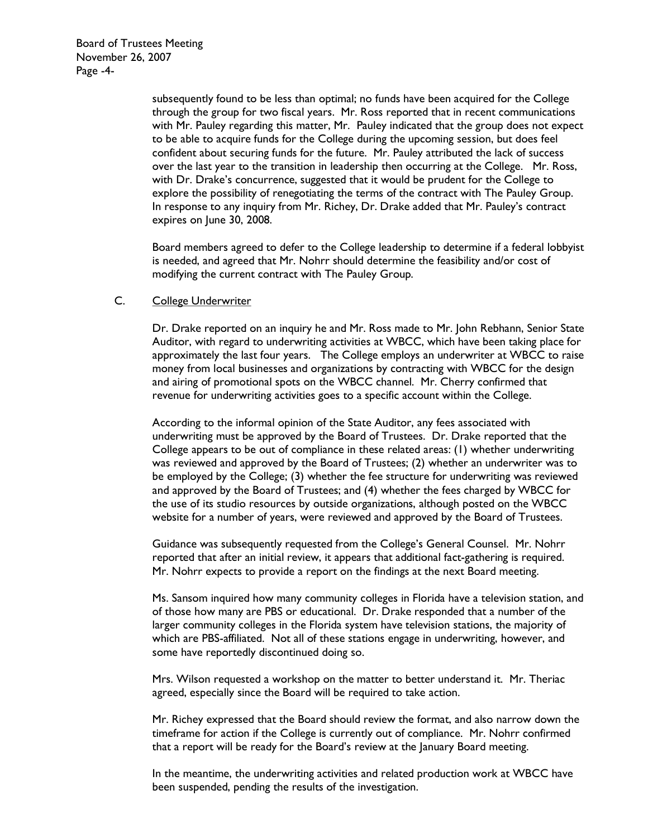**Board of Trustees Meeting** November 26, 2007 Page -4-

> subsequently found to be less than optimal; no funds have been acquired for the College through the group for two fiscal years. Mr. Ross reported that in recent communications with Mr. Pauley regarding this matter, Mr. Pauley indicated that the group does not expect to be able to acquire funds for the College during the upcoming session, but does feel confident about securing funds for the future. Mr. Pauley attributed the lack of success over the last year to the transition in leadership then occurring at the College. Mr. Ross, with Dr. Drake's concurrence, suggested that it would be prudent for the College to explore the possibility of renegotiating the terms of the contract with The Pauley Group. In response to any inquiry from Mr. Richey, Dr. Drake added that Mr. Pauley's contract expires on June 30, 2008.

> Board members agreed to defer to the College leadership to determine if a federal lobbyist is needed, and agreed that Mr. Nohrr should determine the feasibility and/or cost of modifying the current contract with The Pauley Group.

#### $C_{\cdot}$ **College Underwriter**

Dr. Drake reported on an inquiry he and Mr. Ross made to Mr. John Rebhann, Senior State Auditor, with regard to underwriting activities at WBCC, which have been taking place for approximately the last four years. The College employs an underwriter at WBCC to raise money from local businesses and organizations by contracting with WBCC for the design and airing of promotional spots on the WBCC channel. Mr. Cherry confirmed that revenue for underwriting activities goes to a specific account within the College.

According to the informal opinion of the State Auditor, any fees associated with underwriting must be approved by the Board of Trustees. Dr. Drake reported that the College appears to be out of compliance in these related areas: (1) whether underwriting was reviewed and approved by the Board of Trustees; (2) whether an underwriter was to be employed by the College; (3) whether the fee structure for underwriting was reviewed and approved by the Board of Trustees; and (4) whether the fees charged by WBCC for the use of its studio resources by outside organizations, although posted on the WBCC website for a number of years, were reviewed and approved by the Board of Trustees.

Guidance was subsequently requested from the College's General Counsel. Mr. Nohrr reported that after an initial review, it appears that additional fact-gathering is required. Mr. Nohrr expects to provide a report on the findings at the next Board meeting.

Ms. Sansom inquired how many community colleges in Florida have a television station, and of those how many are PBS or educational. Dr. Drake responded that a number of the larger community colleges in the Florida system have television stations, the majority of which are PBS-affiliated. Not all of these stations engage in underwriting, however, and some have reportedly discontinued doing so.

Mrs. Wilson requested a workshop on the matter to better understand it. Mr. Theriac agreed, especially since the Board will be required to take action.

Mr. Richey expressed that the Board should review the format, and also narrow down the timeframe for action if the College is currently out of compliance. Mr. Nohrr confirmed that a report will be ready for the Board's review at the January Board meeting.

In the meantime, the underwriting activities and related production work at WBCC have been suspended, pending the results of the investigation.